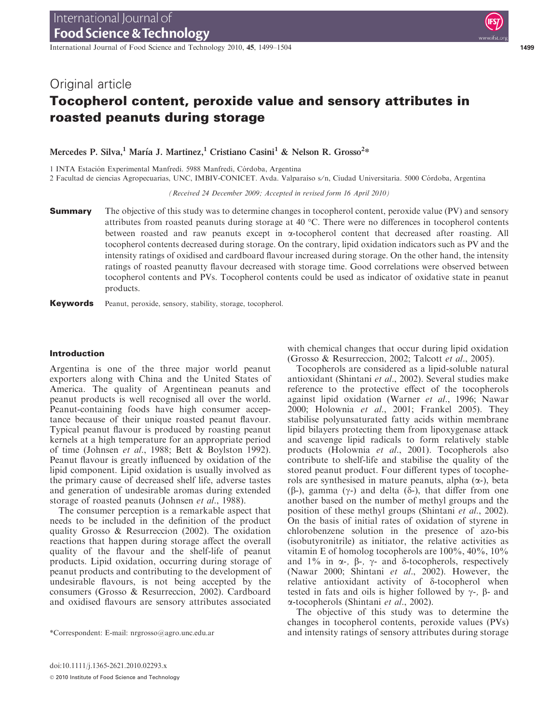International Journal of Food Science and Technology 2010, 45, 1499–1504 1499

# Original article

# Tocopherol content, peroxide value and sensory attributes in roasted peanuts during storage

Mercedes P. Silva,<sup>1</sup> María J. Martinez,<sup>1</sup> Cristiano Casini<sup>1</sup> & Nelson R. Grosso<sup>2</sup>\*

1 INTA Estación Experimental Manfredi. 5988 Manfredi, Córdoba, Argentina

2 Facultad de ciencias Agropecuarias, UNC, IMBIV-CONICET. Avda. Valparaíso s/n, Ciudad Universitaria. 5000 Córdoba, Argentina

(Received 24 December 2009; Accepted in revised form 16 April 2010)

**Summary** The objective of this study was to determine changes in tocopherol content, peroxide value (PV) and sensory attributes from roasted peanuts during storage at 40  $^{\circ}$ C. There were no differences in tocopherol contents between roasted and raw peanuts except in a-tocopherol content that decreased after roasting. All tocopherol contents decreased during storage. On the contrary, lipid oxidation indicators such as PV and the intensity ratings of oxidised and cardboard flavour increased during storage. On the other hand, the intensity ratings of roasted peanutty flavour decreased with storage time. Good correlations were observed between tocopherol contents and PVs. Tocopherol contents could be used as indicator of oxidative state in peanut products.

Keywords Peanut, peroxide, sensory, stability, storage, tocopherol.

## Introduction

Argentina is one of the three major world peanut exporters along with China and the United States of America. The quality of Argentinean peanuts and peanut products is well recognised all over the world. Peanut-containing foods have high consumer acceptance because of their unique roasted peanut flavour. Typical peanut flavour is produced by roasting peanut kernels at a high temperature for an appropriate period of time (Johnsen et al., 1988; Bett & Boylston 1992). Peanut flavour is greatly influenced by oxidation of the lipid component. Lipid oxidation is usually involved as the primary cause of decreased shelf life, adverse tastes and generation of undesirable aromas during extended storage of roasted peanuts (Johnsen et al., 1988).

The consumer perception is a remarkable aspect that needs to be included in the definition of the product quality Grosso & Resurreccion (2002). The oxidation reactions that happen during storage affect the overall quality of the flavour and the shelf-life of peanut products. Lipid oxidation, occurring during storage of peanut products and contributing to the development of undesirable flavours, is not being accepted by the consumers (Grosso & Resurreccion, 2002). Cardboard and oxidised flavours are sensory attributes associated

with chemical changes that occur during lipid oxidation (Grosso & Resurreccion, 2002; Talcott et al., 2005).

Tocopherols are considered as a lipid-soluble natural antioxidant (Shintani et al., 2002). Several studies make reference to the protective effect of the tocopherols against lipid oxidation (Warner et al., 1996; Nawar 2000; Holownia et al., 2001; Frankel 2005). They stabilise polyunsaturated fatty acids within membrane lipid bilayers protecting them from lipoxygenase attack and scavenge lipid radicals to form relatively stable products (Holownia et al., 2001). Tocopherols also contribute to shelf-life and stabilise the quality of the stored peanut product. Four different types of tocopherols are synthesised in mature peanuts, alpha  $(\alpha)$ , beta ( $\beta$ -), gamma ( $\gamma$ -) and delta ( $\delta$ -), that differ from one another based on the number of methyl groups and the position of these methyl groups (Shintani et al., 2002). On the basis of initial rates of oxidation of styrene in chlorobenzene solution in the presence of azo-bis (isobutyronitrile) as initiator, the relative activities as vitamin E of homolog tocopherols are 100%, 40%, 10% and  $1\%$  in  $\alpha$ -,  $\beta$ -,  $\gamma$ - and  $\delta$ -tocopherols, respectively (Nawar 2000; Shintani et al., 2002). However, the relative antioxidant activity of  $\delta$ -tocopherol when tested in fats and oils is higher followed by  $\gamma$ -,  $\beta$ - and a-tocopherols (Shintani et al., 2002).

The objective of this study was to determine the changes in tocopherol contents, peroxide values (PVs) \*Correspondent: E-mail: nrgrosso@agro.unc.edu.ar and intensity ratings of sensory attributes during storage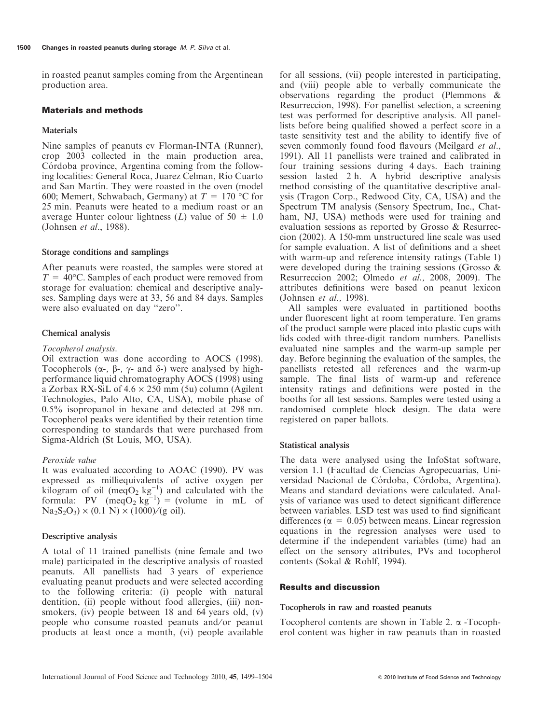in roasted peanut samples coming from the Argentinean production area.

## Materials and methods

#### Materials

Nine samples of peanuts cv Florman-INTA (Runner), crop 2003 collected in the main production area, Córdoba province, Argentina coming from the following localities: General Roca, Juarez Celman, Rı´o Cuarto and San Martín. They were roasted in the oven (model 600; Memert, Schwabach, Germany) at  $T = 170$  °C for 25 min. Peanuts were heated to a medium roast or an average Hunter colour lightness (L) value of  $50 \pm 1.0$ (Johnsen et al., 1988).

#### Storage conditions and samplings

After peanuts were roasted, the samples were stored at  $T = 40^{\circ}$ C. Samples of each product were removed from storage for evaluation: chemical and descriptive analyses. Sampling days were at 33, 56 and 84 days. Samples were also evaluated on day ''zero''.

## Chemical analysis

#### Tocopherol analysis.

Oil extraction was done according to AOCS (1998). Tocopherols ( $\alpha$ -,  $\beta$ -,  $\gamma$ - and  $\delta$ -) were analysed by highperformance liquid chromatography AOCS (1998) using a Zorbax RX-SiL of  $4.6 \times 250$  mm (5u) column (Agilent Technologies, Palo Alto, CA, USA), mobile phase of 0.5% isopropanol in hexane and detected at 298 nm. Tocopherol peaks were identified by their retention time corresponding to standards that were purchased from Sigma-Aldrich (St Louis, MO, USA).

#### Peroxide value

It was evaluated according to AOAC (1990). PV was expressed as milliequivalents of active oxygen per kilogram of oil (meqO<sub>2</sub> kg<sup>-1</sup>) and calculated with the formula: PV  $(\text{meqO}_2 \text{ kg}^{-1}) = (\text{volume in mL of})$  $Na_2S_2O_3$ ) × (0.1 N) × (1000)/(g oil).

#### Descriptive analysis

A total of 11 trained panellists (nine female and two male) participated in the descriptive analysis of roasted peanuts. All panellists had 3 years of experience evaluating peanut products and were selected according to the following criteria: (i) people with natural dentition, (ii) people without food allergies, (iii) nonsmokers, (iv) people between 18 and 64 years old, (v) people who consume roasted peanuts and/or peanut products at least once a month, (vi) people available

for all sessions, (vii) people interested in participating, and (viii) people able to verbally communicate the observations regarding the product (Plemmons & Resurreccion, 1998). For panellist selection, a screening test was performed for descriptive analysis. All panellists before being qualified showed a perfect score in a taste sensitivity test and the ability to identify five of seven commonly found food flavours (Meilgard et al., 1991). All 11 panellists were trained and calibrated in four training sessions during 4 days. Each training session lasted 2 h. A hybrid descriptive analysis method consisting of the quantitative descriptive analysis (Tragon Corp., Redwood City, CA, USA) and the Spectrum TM analysis (Sensory Spectrum, Inc., Chatham, NJ, USA) methods were used for training and evaluation sessions as reported by Grosso & Resurreccion (2002). A 150-mm unstructured line scale was used for sample evaluation. A list of definitions and a sheet with warm-up and reference intensity ratings (Table 1) were developed during the training sessions (Grosso & Resurreccion 2002; Olmedo et al., 2008, 2009). The attributes definitions were based on peanut lexicon (Johnsen et al., 1998).

All samples were evaluated in partitioned booths under fluorescent light at room temperature. Ten grams of the product sample were placed into plastic cups with lids coded with three-digit random numbers. Panellists evaluated nine samples and the warm-up sample per day. Before beginning the evaluation of the samples, the panellists retested all references and the warm-up sample. The final lists of warm-up and reference intensity ratings and definitions were posted in the booths for all test sessions. Samples were tested using a randomised complete block design. The data were registered on paper ballots.

#### Statistical analysis

The data were analysed using the InfoStat software, version 1.1 (Facultad de Ciencias Agropecuarias, Universidad Nacional de Córdoba, Córdoba, Argentina). Means and standard deviations were calculated. Analysis of variance was used to detect significant difference between variables. LSD test was used to find significant differences ( $\alpha$  = 0.05) between means. Linear regression equations in the regression analyses were used to determine if the independent variables (time) had an effect on the sensory attributes, PVs and tocopherol contents (Sokal & Rohlf, 1994).

# Results and discussion

#### Tocopherols in raw and roasted peanuts

Tocopherol contents are shown in Table 2.  $\alpha$  -Tocopherol content was higher in raw peanuts than in roasted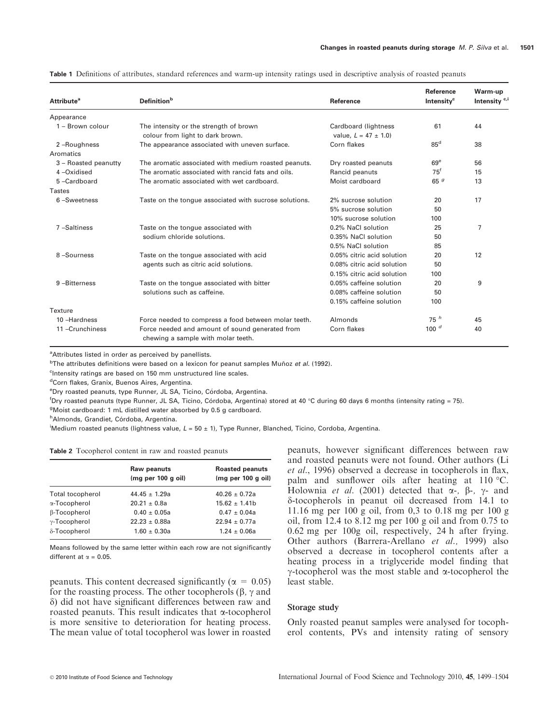| <b>Attribute<sup>a</sup></b> | <b>Definition</b> <sup>b</sup>                                                        | Reference                                       | <b>Reference</b><br>Intensity <sup>c</sup> | Warm-up<br>Intensity <sup>c,i</sup> |
|------------------------------|---------------------------------------------------------------------------------------|-------------------------------------------------|--------------------------------------------|-------------------------------------|
| Appearance                   |                                                                                       |                                                 |                                            |                                     |
| $1 - Brown$ colour           | The intensity or the strength of brown<br>colour from light to dark brown.            | Cardboard (lightness<br>value. $L = 47 \pm 1.0$ | 61                                         | 44                                  |
| 2-Roughness                  | The appearance associated with uneven surface.                                        | Corn flakes                                     | 85 <sup>d</sup>                            | 38                                  |
| Aromatics                    |                                                                                       |                                                 |                                            |                                     |
| 3 - Roasted peanutty         | The aromatic associated with medium roasted peanuts.                                  | Dry roasted peanuts                             | 69 <sup>e</sup>                            | 56                                  |
| 4-Oxidised                   | The aromatic associated with rancid fats and oils.                                    | Rancid peanuts                                  | $75^{\dagger}$                             | 15                                  |
| 5-Cardboard                  | The aromatic associated with wet cardboard.                                           | Moist cardboard                                 | 65 $g$                                     | 13                                  |
| Tastes                       |                                                                                       |                                                 |                                            |                                     |
| 6-Sweetness                  | Taste on the tongue associated with sucrose solutions.                                | 2% sucrose solution                             | 20                                         | 17                                  |
|                              |                                                                                       | 5% sucrose solution                             | 50                                         |                                     |
|                              |                                                                                       | 10% sucrose solution                            | 100                                        |                                     |
| 7-Saltiness                  | Taste on the tongue associated with                                                   | 0.2% NaCl solution                              | 25                                         | 7                                   |
|                              | sodium chloride solutions.                                                            | 0.35% NaCl solution                             | 50                                         |                                     |
|                              |                                                                                       | 0.5% NaCl solution                              | 85                                         |                                     |
| 8-Sourness                   | Taste on the tongue associated with acid                                              | 0.05% citric acid solution                      | 20                                         | 12                                  |
|                              | agents such as citric acid solutions.                                                 | 0.08% citric acid solution                      | 50                                         |                                     |
|                              |                                                                                       | 0.15% citric acid solution                      | 100                                        |                                     |
| 9-Bitterness                 | Taste on the tongue associated with bitter                                            | 0.05% caffeine solution                         | 20                                         | 9                                   |
|                              | solutions such as caffeine.                                                           | 0.08% caffeine solution                         | 50                                         |                                     |
|                              |                                                                                       | 0.15% caffeine solution                         | 100                                        |                                     |
| Texture                      |                                                                                       |                                                 |                                            |                                     |
| 10-Hardness                  | Force needed to compress a food between molar teeth.                                  | Almonds                                         | 75h                                        | 45                                  |
| 11-Crunchiness               | Force needed and amount of sound generated from<br>chewing a sample with molar teeth. | Corn flakes                                     | 100 $d$                                    | 40                                  |

Table 1 Definitions of attributes, standard references and warm-up intensity ratings used in descriptive analysis of roasted peanuts

<sup>a</sup>Attributes listed in order as perceived by panellists.

<sup>b</sup>The attributes definitions were based on a lexicon for peanut samples Muñoz *et al.* (1992).

<sup>c</sup>Intensity ratings are based on 150 mm unstructured line scales.

<sup>d</sup>Corn flakes, Granix, Buenos Aires, Argentina.

<sup>e</sup>Dry roasted peanuts, type Runner, JL SA, Ticino, Córdoba, Argentina.

<sup>f</sup>Dry roasted peanuts (type Runner, JL SA, Ticino, Córdoba, Argentina) stored at 40 °C during 60 days 6 months (intensity rating = 75).

<sup>g</sup>Moist cardboard: 1 mL distilled water absorbed by 0.5 g cardboard.

<sup>h</sup>Almonds, Grandiet, Córdoba, Argentina.

i Medium roasted peanuts (lightness value, L = 50 ± 1), Type Runner, Blanched, Ticino, Cordoba, Argentina.

|  | <b>Table 2</b> Tocopherol content in raw and roasted peanuts |  |  |  |  |
|--|--------------------------------------------------------------|--|--|--|--|
|--|--------------------------------------------------------------|--|--|--|--|

|                      | Raw peanuts<br>(mq per 100 q oil) | <b>Roasted peanuts</b><br>(mq per 100 q oil) |
|----------------------|-----------------------------------|----------------------------------------------|
| Total tocopherol     | $44.45 \pm 1.29a$                 | $40.26 \pm 0.72a$                            |
| α-Tocopherol         | $20.21 \pm 0.8a$                  | $15.62 \pm 1.41b$                            |
| β-Tocopherol         | $0.40 \pm 0.05a$                  | $0.47 \pm 0.04a$                             |
| $\gamma$ -Tocopherol | $22.23 + 0.88a$                   | $22.94 \pm 0.77a$                            |
| δ-Tocopherol         | $1.60 \pm 0.30a$                  | $1.24 \pm 0.06a$                             |

Means followed by the same letter within each row are not significantly different at  $\alpha = 0.05$ .

peanuts. This content decreased significantly ( $\alpha = 0.05$ ) for the roasting process. The other tocopherols  $(\beta, \gamma, \gamma)$  and  $\delta$ ) did not have significant differences between raw and roasted peanuts. This result indicates that  $\alpha$ -tocopherol is more sensitive to deterioration for heating process. The mean value of total tocopherol was lower in roasted peanuts, however significant differences between raw and roasted peanuts were not found. Other authors (Li et al., 1996) observed a decrease in tocopherols in flax, palm and sunflower oils after heating at 110  $\degree$ C. Holownia et al. (2001) detected that  $\alpha$ -,  $\beta$ -,  $\gamma$ - and d-tocopherols in peanut oil decreased from 14.1 to 11.16 mg per 100 g oil, from 0,3 to 0.18 mg per 100 g oil, from 12.4 to 8.12 mg per 100 g oil and from 0.75 to 0.62 mg per 100g oil, respectively, 24 h after frying. Other authors (Barrera-Arellano et al., 1999) also observed a decrease in tocopherol contents after a heating process in a triglyceride model finding that  $\gamma$ -tocopherol was the most stable and  $\alpha$ -tocopherol the least stable.

#### Storage study

Only roasted peanut samples were analysed for tocopherol contents, PVs and intensity rating of sensory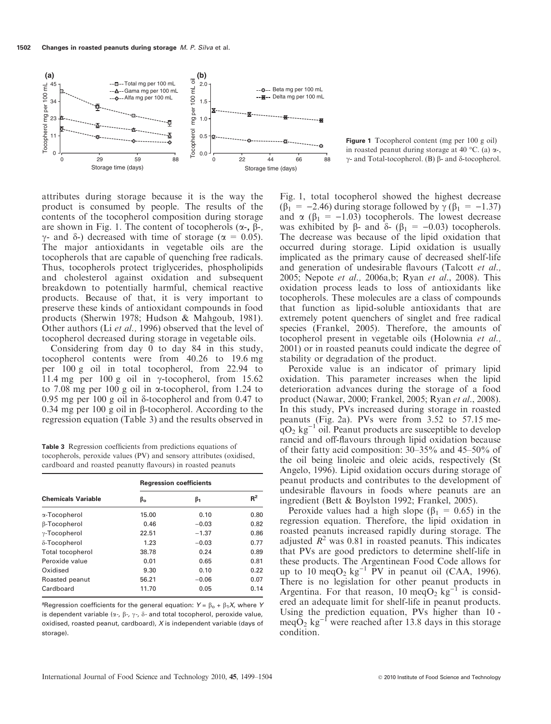

Figure 1 Tocopherol content (mg per 100 g oil) in roasted peanut during storage at 40 °C. (a)  $\alpha$ -,  $\gamma$ - and Total-tocopherol. (B)  $\beta$ - and  $\delta$ -tocopherol.

attributes during storage because it is the way the product is consumed by people. The results of the contents of the tocopherol composition during storage are shown in Fig. 1. The content of tocopherols  $(\alpha_{\text{-}}$ ,  $\beta_{\text{-}}$ ,  $\gamma$ - and  $\delta$ -) decreased with time of storage ( $\alpha = 0.05$ ). The major antioxidants in vegetable oils are the tocopherols that are capable of quenching free radicals. Thus, tocopherols protect triglycerides, phospholipids and cholesterol against oxidation and subsequent breakdown to potentially harmful, chemical reactive products. Because of that, it is very important to preserve these kinds of antioxidant compounds in food products (Sherwin 1978; Hudson & Mahgoub, 1981). Other authors (Li et al., 1996) observed that the level of tocopherol decreased during storage in vegetable oils.

Considering from day 0 to day 84 in this study, tocopherol contents were from 40.26 to 19.6 mg per 100 g oil in total tocopherol, from 22.94 to 11.4 mg per 100 g oil in  $\gamma$ -tocopherol, from 15.62 to 7.08 mg per 100 g oil in  $\alpha$ -tocopherol, from 1.24 to 0.95 mg per 100 g oil in  $\delta$ -tocopherol and from 0.47 to 0.34 mg per 100 g oil in  $\beta$ -tocopherol. According to the regression equation (Table 3) and the results observed in

Table 3 Regression coefficients from predictions equations of tocopherols, peroxide values (PV) and sensory attributes (oxidised, cardboard and roasted peanutty flavours) in roasted peanuts

|                           | <b>Regression coefficients</b> |         |       |  |
|---------------------------|--------------------------------|---------|-------|--|
| <b>Chemicals Variable</b> | ß.                             | ß1      | $R^2$ |  |
| α-Tocopherol              | 15.00                          | 0.10    | 0.80  |  |
| β-Tocopherol              | 0.46                           | $-0.03$ | 0.82  |  |
| $\gamma$ -Tocopherol      | 22.51                          | $-1.37$ | 0.86  |  |
| δ-Tocopherol              | 1.23                           | $-0.03$ | 0.77  |  |
| <b>Total tocopherol</b>   | 38.78                          | 0.24    | 0.89  |  |
| Peroxide value            | 0.01                           | 0.65    | 0.81  |  |
| Oxidised                  | 9.30                           | 0.10    | 0.22  |  |
| Roasted peanut            | 56.21                          | $-0.06$ | 0.07  |  |
| Cardboard                 | 11.70                          | 0.05    | 0.14  |  |

<sup>a</sup>Regression coefficients for the general equation:  $Y = \beta_0 + \beta_1 X$ , where Y is dependent variable ( $\alpha$ -,  $\beta$ -,  $\gamma$ -,  $\delta$ - and total tocopherol, peroxide value, oxidised, roasted peanut, cardboard), X is independent variable (days of storage).

Fig. 1, total tocopherol showed the highest decrease  $(\beta_1 = -2.46)$  during storage followed by  $\gamma (\beta_1 = -1.37)$ and  $\alpha$  ( $\beta_1$  = -1.03) tocopherols. The lowest decrease was exhibited by  $\beta$ - and  $\delta$ - ( $\beta_1 = -0.03$ ) tocopherols. The decrease was because of the lipid oxidation that occurred during storage. Lipid oxidation is usually implicated as the primary cause of decreased shelf-life and generation of undesirable flavours (Talcott et al., 2005; Nepote et al., 2006a,b; Ryan et al., 2008). This oxidation process leads to loss of antioxidants like tocopherols. These molecules are a class of compounds that function as lipid-soluble antioxidants that are extremely potent quenchers of singlet and free radical species (Frankel, 2005). Therefore, the amounts of tocopherol present in vegetable oils (Holownia et al., 2001) or in roasted peanuts could indicate the degree of stability or degradation of the product.

Peroxide value is an indicator of primary lipid oxidation. This parameter increases when the lipid deterioration advances during the storage of a food product (Nawar, 2000; Frankel, 2005; Ryan et al., 2008). In this study, PVs increased during storage in roasted peanuts (Fig. 2a). PVs were from 3.52 to 57.15 me $qO<sub>2</sub>$  kg<sup>-1</sup> oil. Peanut products are susceptible to develop rancid and off-flavours through lipid oxidation because of their fatty acid composition: 30–35% and 45–50% of the oil being linoleic and oleic acids, respectively (St Angelo, 1996). Lipid oxidation occurs during storage of peanut products and contributes to the development of undesirable flavours in foods where peanuts are an ingredient (Bett & Boylston 1992; Frankel, 2005).

Peroxide values had a high slope ( $\beta_1 = 0.65$ ) in the regression equation. Therefore, the lipid oxidation in roasted peanuts increased rapidly during storage. The adjusted  $R^2$  was 0.81 in roasted peanuts. This indicates that PVs are good predictors to determine shelf-life in these products. The Argentinean Food Code allows for up to 10 meq $O_2$  kg<sup>-1</sup> PV in peanut oil (CAA, 1996). There is no legislation for other peanut products in Argentina. For that reason, 10 meq $O_2$  kg<sup>-1</sup> is considered an adequate limit for shelf-life in peanut products. Using the prediction equation, PVs higher than 10 meq $O_2$  kg<sup>-1</sup> were reached after 13.8 days in this storage condition.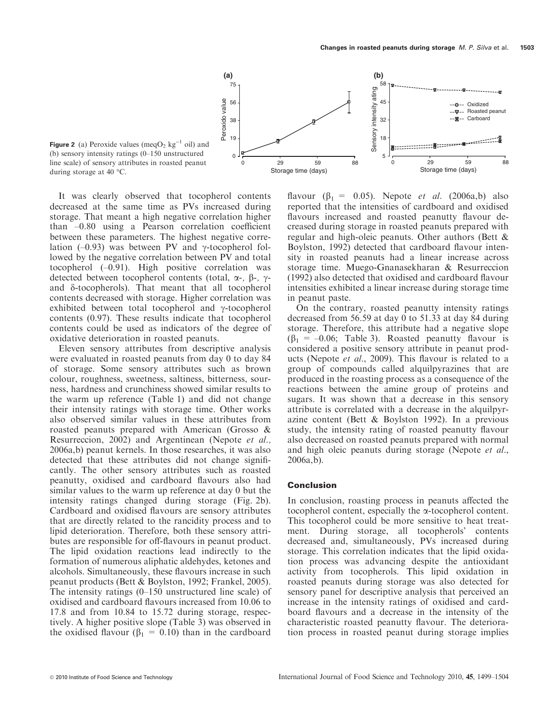

**Figure 2** (a) Peroxide values (meqO<sub>2</sub> kg<sup>-1</sup> oil) and (b) sensory intensity ratings (0–150 unstructured line scale) of sensory attributes in roasted peanut during storage at 40 °C.

It was clearly observed that tocopherol contents decreased at the same time as PVs increased during storage. That meant a high negative correlation higher than –0.80 using a Pearson correlation coefficient between these parameters. The highest negative correlation (–0.93) was between PV and  $\gamma$ -tocopherol followed by the negative correlation between PV and total tocopherol (–0.91). High positive correlation was detected between tocopherol contents (total,  $\alpha$ -,  $\beta$ -,  $\gamma$ and  $\delta$ -tocopherols). That meant that all tocopherol contents decreased with storage. Higher correlation was exhibited between total tocopherol and  $\gamma$ -tocopherol contents (0.97). These results indicate that tocopherol contents could be used as indicators of the degree of oxidative deterioration in roasted peanuts.

Eleven sensory attributes from descriptive analysis were evaluated in roasted peanuts from day 0 to day 84 of storage. Some sensory attributes such as brown colour, roughness, sweetness, saltiness, bitterness, sourness, hardness and crunchiness showed similar results to the warm up reference (Table 1) and did not change their intensity ratings with storage time. Other works also observed similar values in these attributes from roasted peanuts prepared with American (Grosso & Resurreccion, 2002) and Argentinean (Nepote et al., 2006a,b) peanut kernels. In those researches, it was also detected that these attributes did not change significantly. The other sensory attributes such as roasted peanutty, oxidised and cardboard flavours also had similar values to the warm up reference at day 0 but the intensity ratings changed during storage (Fig. 2b). Cardboard and oxidised flavours are sensory attributes that are directly related to the rancidity process and to lipid deterioration. Therefore, both these sensory attributes are responsible for off-flavours in peanut product. The lipid oxidation reactions lead indirectly to the formation of numerous aliphatic aldehydes, ketones and alcohols. Simultaneously, these flavours increase in such peanut products (Bett & Boylston, 1992; Frankel, 2005). The intensity ratings (0–150 unstructured line scale) of oxidised and cardboard flavours increased from 10.06 to 17.8 and from 10.84 to 15.72 during storage, respectively. A higher positive slope (Table 3) was observed in the oxidised flavour ( $\beta_1 = 0.10$ ) than in the cardboard

flavour ( $\beta_1 = 0.05$ ). Nepote *et al.* (2006a,b) also reported that the intensities of cardboard and oxidised flavours increased and roasted peanutty flavour decreased during storage in roasted peanuts prepared with regular and high-oleic peanuts. Other authors (Bett & Boylston, 1992) detected that cardboard flavour intensity in roasted peanuts had a linear increase across storage time. Muego-Gnanasekharan & Resurreccion (1992) also detected that oxidised and cardboard flavour intensities exhibited a linear increase during storage time in peanut paste.

On the contrary, roasted peanutty intensity ratings decreased from 56.59 at day 0 to 51.33 at day 84 during storage. Therefore, this attribute had a negative slope  $(\beta_1 = -0.06;$  Table 3). Roasted peanutty flavour is considered a positive sensory attribute in peanut products (Nepote et al., 2009). This flavour is related to a group of compounds called alquilpyrazines that are produced in the roasting process as a consequence of the reactions between the amine group of proteins and sugars. It was shown that a decrease in this sensory attribute is correlated with a decrease in the alquilpyrazine content (Bett & Boylston 1992). In a previous study, the intensity rating of roasted peanutty flavour also decreased on roasted peanuts prepared with normal and high oleic peanuts during storage (Nepote et al., 2006a,b).

#### Conclusion

In conclusion, roasting process in peanuts affected the tocopherol content, especially the a-tocopherol content. This tocopherol could be more sensitive to heat treatment. During storage, all tocopherols' contents decreased and, simultaneously, PVs increased during storage. This correlation indicates that the lipid oxidation process was advancing despite the antioxidant activity from tocopherols. This lipid oxidation in roasted peanuts during storage was also detected for sensory panel for descriptive analysis that perceived an increase in the intensity ratings of oxidised and cardboard flavours and a decrease in the intensity of the characteristic roasted peanutty flavour. The deterioration process in roasted peanut during storage implies